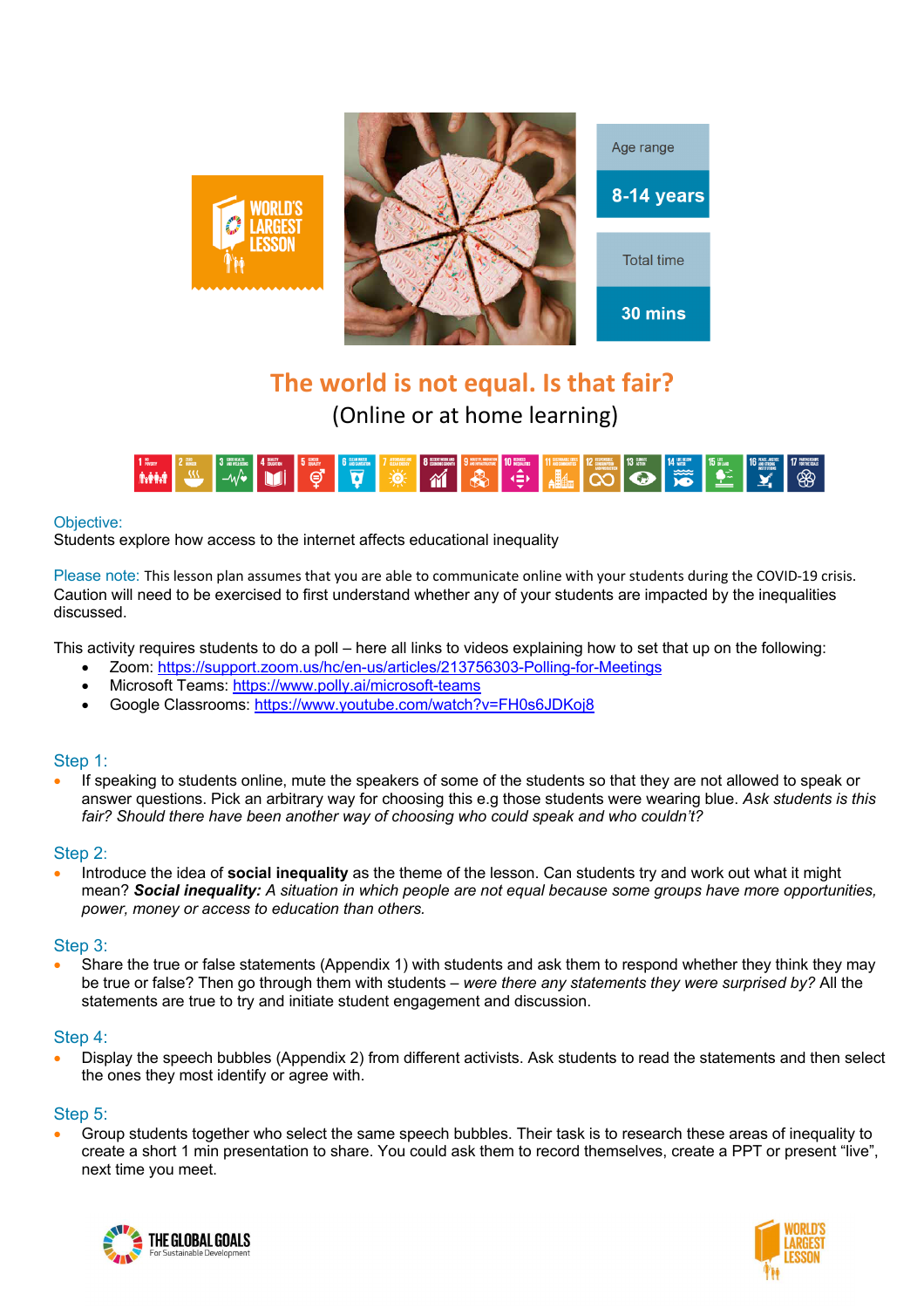

# **The world is not equal. Is that fair?** (Online or at home learning)



## Objective:

Students explore how access to the internet affects educational inequality

Please note: This lesson plan assumes that you are able to communicate online with your students during the COVID-19 crisis. Caution will need to be exercised to first understand whether any of your students are impacted by the inequalities discussed.

This activity requires students to do a poll – here all links to videos explaining how to set that up on the following:

- Zoom: https://support.zoom.us/hc/en-us/articles/213756303-Polling-for-Meetings
- Microsoft Teams: https://www.polly.ai/microsoft-teams
- Google Classrooms: https://www.youtube.com/watch?v=FH0s6JDKoj8

## Step 1:

• If speaking to students online, mute the speakers of some of the students so that they are not allowed to speak or answer questions. Pick an arbitrary way for choosing this e.g those students were wearing blue. *Ask students is this fair? Should there have been another way of choosing who could speak and who couldn't?*

#### Step 2:

• Introduce the idea of **social inequality** as the theme of the lesson. Can students try and work out what it might mean? *Social inequality: A situation in which people are not equal because some groups have more opportunities, power, money or access to education than others.*

## Step 3:

• Share the true or false statements (Appendix 1) with students and ask them to respond whether they think they may be true or false? Then go through them with students – *were there any statements they were surprised by?* All the statements are true to try and initiate student engagement and discussion.

#### Step 4:

• Display the speech bubbles (Appendix 2) from different activists. Ask students to read the statements and then select the ones they most identify or agree with.

#### Step 5:

• Group students together who select the same speech bubbles. Their task is to research these areas of inequality to create a short 1 min presentation to share. You could ask them to record themselves, create a PPT or present "live", next time you meet.



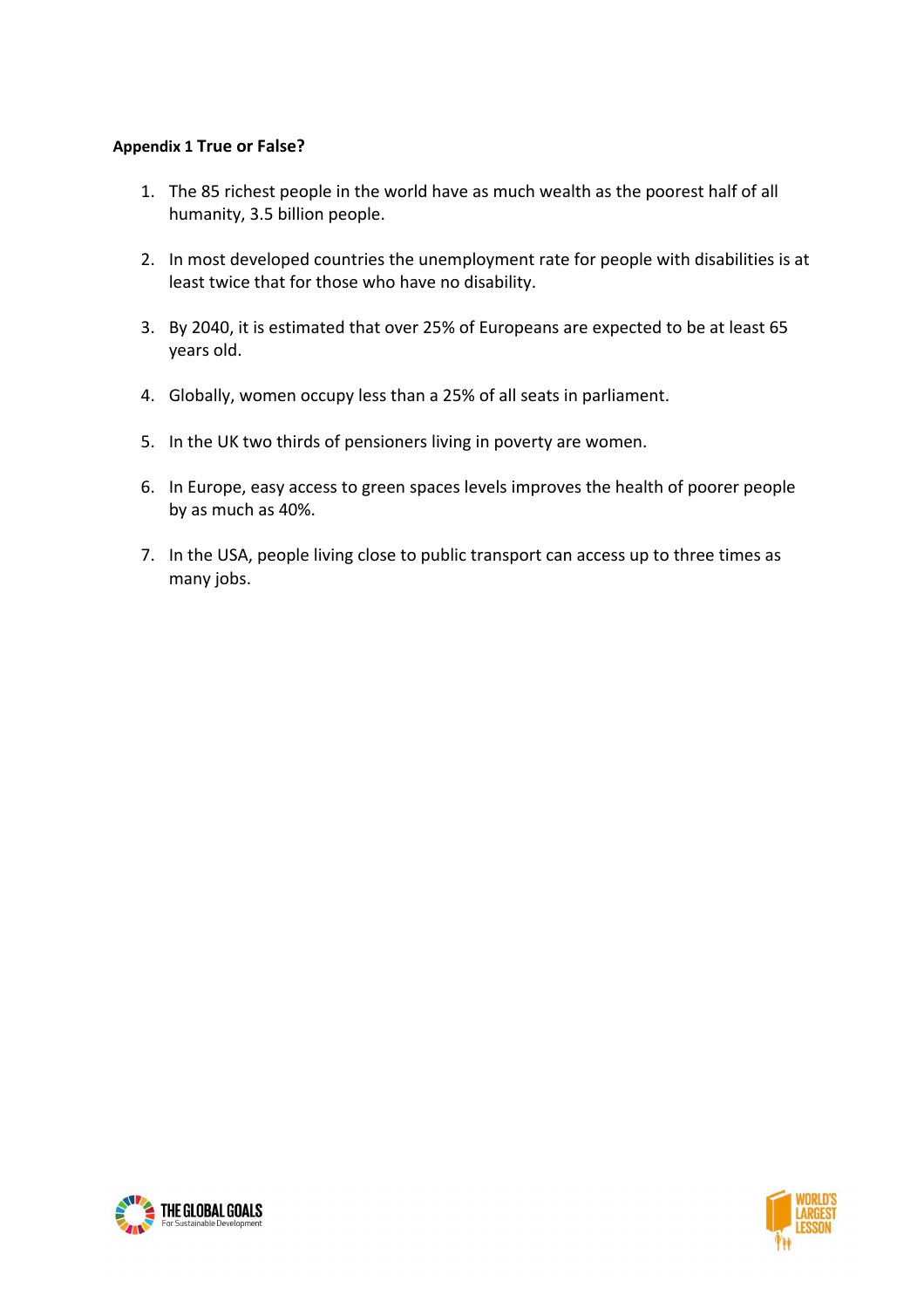# **Appendix 1 True or False?**

- 1. The 85 richest people in the world have as much wealth as the poorest half of all humanity, 3.5 billion people.
- 2. In most developed countries the unemployment rate for people with disabilities is at least twice that for those who have no disability.
- 3. By 2040, it is estimated that over 25% of Europeans are expected to be at least 65 years old.
- 4. Globally, women occupy less than a 25% of all seats in parliament.
- 5. In the UK two thirds of pensioners living in poverty are women.
- 6. In Europe, easy access to green spaces levels improves the health of poorer people by as much as 40%.
- 7. In the USA, people living close to public transport can access up to three times as many jobs.



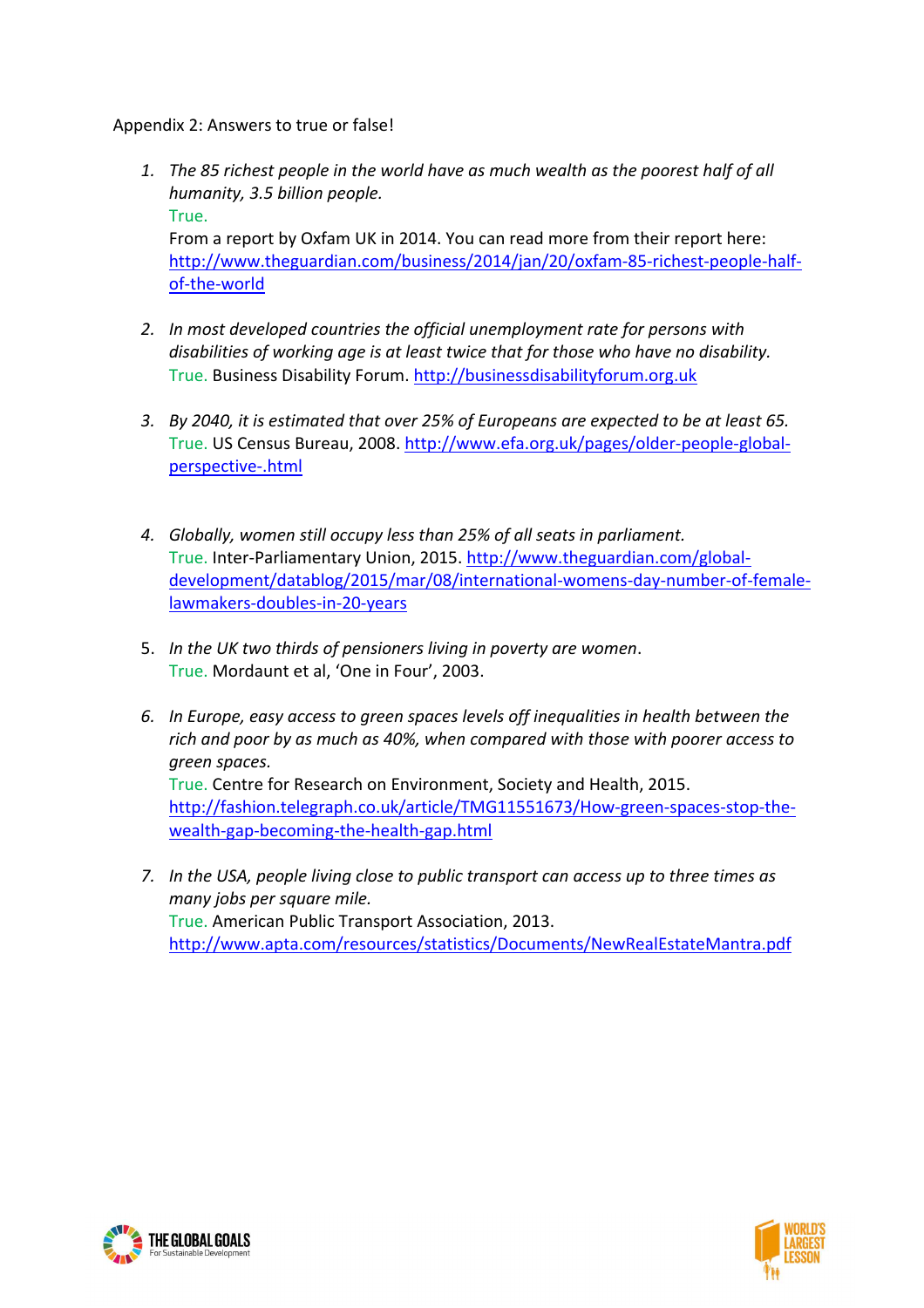Appendix 2: Answers to true or false!

- *1. The 85 richest people in the world have as much wealth as the poorest half of all humanity, 3.5 billion people.* True. From a report by Oxfam UK in 2014. You can read more from their report here: http://www.theguardian.com/business/2014/jan/20/oxfam-85-richest-people-halfof-the-world
- *2. In most developed countries the official unemployment rate for persons with disabilities of working age is at least twice that for those who have no disability.* True. Business Disability Forum. http://businessdisabilityforum.org.uk
- *3. By 2040, it is estimated that over 25% of Europeans are expected to be at least 65.* True. US Census Bureau, 2008. http://www.efa.org.uk/pages/older-people-globalperspective-.html
- *4. Globally, women still occupy less than 25% of all seats in parliament.* True. Inter-Parliamentary Union, 2015. http://www.theguardian.com/globaldevelopment/datablog/2015/mar/08/international-womens-day-number-of-femalelawmakers-doubles-in-20-years
- 5. *In the UK two thirds of pensioners living in poverty are women*. True. Mordaunt et al, 'One in Four', 2003.
- *6. In Europe, easy access to green spaces levels off inequalities in health between the rich and poor by as much as 40%, when compared with those with poorer access to green spaces.* True. Centre for Research on Environment, Society and Health, 2015. http://fashion.telegraph.co.uk/article/TMG11551673/How-green-spaces-stop-thewealth-gap-becoming-the-health-gap.html
- *7. In the USA, people living close to public transport can access up to three times as many jobs per square mile.* True. American Public Transport Association, 2013. http://www.apta.com/resources/statistics/Documents/NewRealEstateMantra.pdf